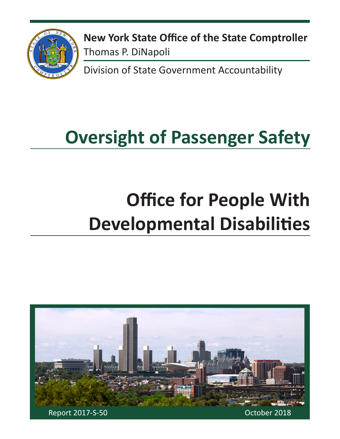

**New York State Office of the State Comptroller** Thomas P. DiNapoli

Division of State Government Accountability

# **Oversight of Passenger Safety**

# **Office for People With Developmental Disabilities**

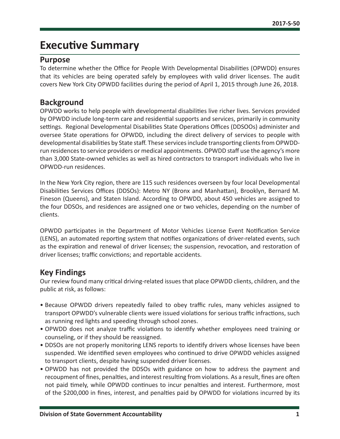# **Executive Summary**

### **Purpose**

To determine whether the Office for People With Developmental Disabilities (OPWDD) ensures that its vehicles are being operated safely by employees with valid driver licenses. The audit covers New York City OPWDD facilities during the period of April 1, 2015 through June 26, 2018.

### **Background**

OPWDD works to help people with developmental disabilities live richer lives. Services provided by OPWDD include long-term care and residential supports and services, primarily in community settings. Regional Developmental Disabilities State Operations Offices (DDSOOs) administer and oversee State operations for OPWDD, including the direct delivery of services to people with developmental disabilities by State staff. These services include transporting clients from OPWDDrun residences to service providers or medical appointments. OPWDD staff use the agency's more than 3,000 State-owned vehicles as well as hired contractors to transport individuals who live in OPWDD-run residences.

In the New York City region, there are 115 such residences overseen by four local Developmental Disabilities Services Offices (DDSOs): Metro NY (Bronx and Manhattan), Brooklyn, Bernard M. Fineson (Queens), and Staten Island. According to OPWDD, about 450 vehicles are assigned to the four DDSOs, and residences are assigned one or two vehicles, depending on the number of clients.

OPWDD participates in the Department of Motor Vehicles License Event Notification Service (LENS), an automated reporting system that notifies organizations of driver-related events, such as the expiration and renewal of driver licenses; the suspension, revocation, and restoration of driver licenses; traffic convictions; and reportable accidents.

### **Key Findings**

Our review found many critical driving-related issues that place OPWDD clients, children, and the public at risk, as follows:

- Because OPWDD drivers repeatedly failed to obey traffic rules, many vehicles assigned to transport OPWDD's vulnerable clients were issued violations for serious traffic infractions, such as running red lights and speeding through school zones.
- OPWDD does not analyze traffic violations to identify whether employees need training or counseling, or if they should be reassigned.
- DDSOs are not properly monitoring LENS reports to identify drivers whose licenses have been suspended. We identified seven employees who continued to drive OPWDD vehicles assigned to transport clients, despite having suspended driver licenses.
- OPWDD has not provided the DDSOs with guidance on how to address the payment and recoupment of fines, penalties, and interest resulting from violations. As a result, fines are often not paid timely, while OPWDD continues to incur penalties and interest. Furthermore, most of the \$200,000 in fines, interest, and penalties paid by OPWDD for violations incurred by its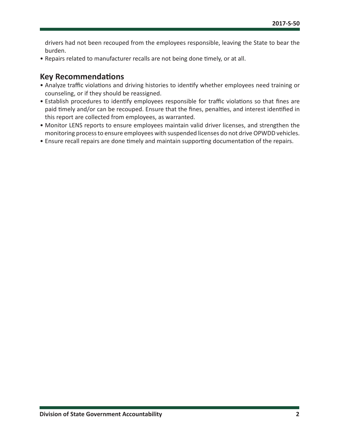drivers had not been recouped from the employees responsible, leaving the State to bear the burden.

• Repairs related to manufacturer recalls are not being done timely, or at all.

### **Key Recommendations**

- Analyze traffic violations and driving histories to identify whether employees need training or counseling, or if they should be reassigned.
- Establish procedures to identify employees responsible for traffic violations so that fines are paid timely and/or can be recouped. Ensure that the fines, penalties, and interest identified in this report are collected from employees, as warranted.
- Monitor LENS reports to ensure employees maintain valid driver licenses, and strengthen the monitoring process to ensure employees with suspended licenses do not drive OPWDD vehicles.
- Ensure recall repairs are done timely and maintain supporting documentation of the repairs.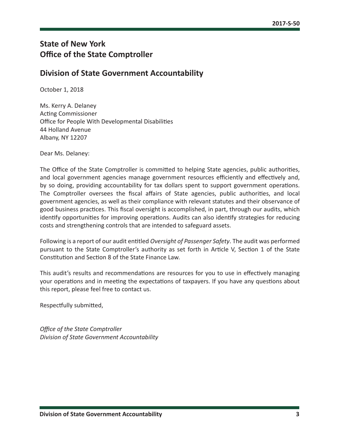## **State of New York Office of the State Comptroller**

### **Division of State Government Accountability**

October 1, 2018

Ms. Kerry A. Delaney Acting Commissioner Office for People With Developmental Disabilities 44 Holland Avenue Albany, NY 12207

Dear Ms. Delaney:

The Office of the State Comptroller is committed to helping State agencies, public authorities, and local government agencies manage government resources efficiently and effectively and, by so doing, providing accountability for tax dollars spent to support government operations. The Comptroller oversees the fiscal affairs of State agencies, public authorities, and local government agencies, as well as their compliance with relevant statutes and their observance of good business practices. This fiscal oversight is accomplished, in part, through our audits, which identify opportunities for improving operations. Audits can also identify strategies for reducing costs and strengthening controls that are intended to safeguard assets.

Following is a report of our audit entitled *Oversight of Passenger Safety*. The audit was performed pursuant to the State Comptroller's authority as set forth in Article V, Section 1 of the State Constitution and Section 8 of the State Finance Law.

This audit's results and recommendations are resources for you to use in effectively managing your operations and in meeting the expectations of taxpayers. If you have any questions about this report, please feel free to contact us.

Respectfully submitted,

*Office of the State Comptroller Division of State Government Accountability*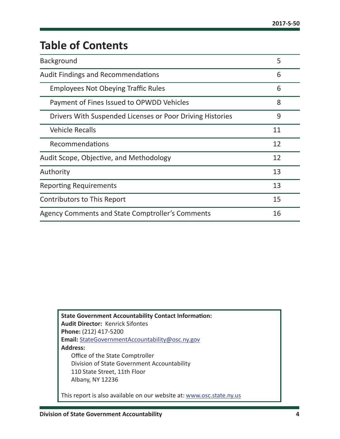# **Table of Contents**

| Background                                                | 5  |  |  |  |
|-----------------------------------------------------------|----|--|--|--|
| <b>Audit Findings and Recommendations</b>                 | 6  |  |  |  |
| <b>Employees Not Obeying Traffic Rules</b>                | 6  |  |  |  |
| Payment of Fines Issued to OPWDD Vehicles                 | 8  |  |  |  |
| Drivers With Suspended Licenses or Poor Driving Histories | 9  |  |  |  |
| <b>Vehicle Recalls</b>                                    | 11 |  |  |  |
| Recommendations                                           | 12 |  |  |  |
| Audit Scope, Objective, and Methodology                   | 12 |  |  |  |
| Authority                                                 | 13 |  |  |  |
| <b>Reporting Requirements</b>                             | 13 |  |  |  |
| <b>Contributors to This Report</b>                        | 15 |  |  |  |
| Agency Comments and State Comptroller's Comments          |    |  |  |  |

**State Government Accountability Contact Information: Audit Director:** Kenrick Sifontes **Phone:** (212) 417-5200 **Email:** [StateGovernmentAccountability@osc.](mailto:StateGovernmentAccountability%40osc.ny.gov?subject=)ny.gov **Address:** Office of the State Comptroller Division of State Government Accountability 110 State Street, 11th Floor Albany, NY 12236 This report is also available on our website at: [www.osc.state.ny.us](http://www.osc.state.ny.us)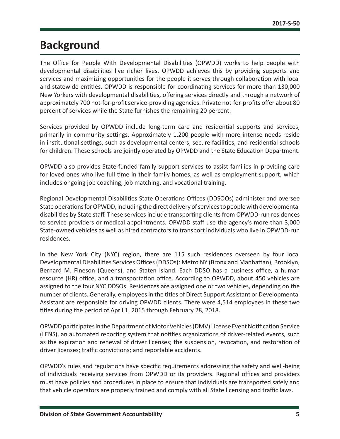# <span id="page-5-0"></span>**Background**

The Office for People With Developmental Disabilities (OPWDD) works to help people with developmental disabilities live richer lives. OPWDD achieves this by providing supports and services and maximizing opportunities for the people it serves through collaboration with local and statewide entities. OPWDD is responsible for coordinating services for more than 130,000 New Yorkers with developmental disabilities, offering services directly and through a network of approximately 700 not-for-profit service-providing agencies. Private not-for-profits offer about 80 percent of services while the State furnishes the remaining 20 percent.

Services provided by OPWDD include long-term care and residential supports and services, primarily in community settings. Approximately 1,200 people with more intense needs reside in institutional settings, such as developmental centers, secure facilities, and residential schools for children. These schools are jointly operated by OPWDD and the State Education Department.

OPWDD also provides State-funded family support services to assist families in providing care for loved ones who live full time in their family homes, as well as employment support, which includes ongoing job coaching, job matching, and vocational training.

Regional Developmental Disabilities State Operations Offices (DDSOOs) administer and oversee State operations for OPWDD, including the direct delivery of services to people with developmental disabilities by State staff. These services include transporting clients from OPWDD-run residences to service providers or medical appointments. OPWDD staff use the agency's more than 3,000 State-owned vehicles as well as hired contractors to transport individuals who live in OPWDD-run residences.

In the New York City (NYC) region, there are 115 such residences overseen by four local Developmental Disabilities Services Offices (DDSOs): Metro NY (Bronx and Manhattan), Brooklyn, Bernard M. Fineson (Queens), and Staten Island. Each DDSO has a business office, a human resource (HR) office, and a transportation office. According to OPWDD, about 450 vehicles are assigned to the four NYC DDSOs. Residences are assigned one or two vehicles, depending on the number of clients. Generally, employees in the titles of Direct Support Assistant or Developmental Assistant are responsible for driving OPWDD clients. There were 4,514 employees in these two titles during the period of April 1, 2015 through February 28, 2018.

OPWDD participates in the Department of Motor Vehicles (DMV) License Event Notification Service (LENS), an automated reporting system that notifies organizations of driver-related events, such as the expiration and renewal of driver licenses; the suspension, revocation, and restoration of driver licenses; traffic convictions; and reportable accidents.

OPWDD's rules and regulations have specific requirements addressing the safety and well-being of individuals receiving services from OPWDD or its providers. Regional offices and providers must have policies and procedures in place to ensure that individuals are transported safely and that vehicle operators are properly trained and comply with all State licensing and traffic laws.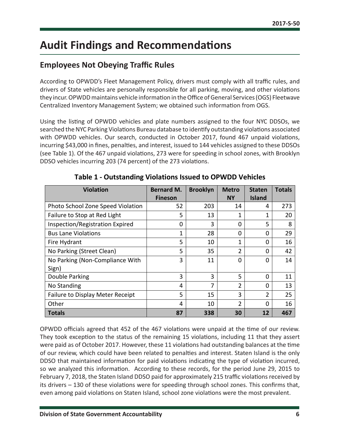# <span id="page-6-0"></span>**Audit Findings and Recommendations**

## **Employees Not Obeying Traffic Rules**

According to OPWDD's Fleet Management Policy, drivers must comply with all traffic rules, and drivers of State vehicles are personally responsible for all parking, moving, and other violations they incur. OPWDD maintains vehicle information in the Office of General Services (OGS) Fleetwave Centralized Inventory Management System; we obtained such information from OGS.

Using the listing of OPWDD vehicles and plate numbers assigned to the four NYC DDSOs, we searched the NYC Parking Violations Bureau database to identify outstanding violations associated with OPWDD vehicles. Our search, conducted in October 2017, found 467 unpaid violations, incurring \$43,000 in fines, penalties, and interest, issued to 144 vehicles assigned to these DDSOs (see Table 1). Of the 467 unpaid violations, 273 were for speeding in school zones, with Brooklyn DDSO vehicles incurring 203 (74 percent) of the 273 violations.

| <b>Violation</b>                  | <b>Bernard M.</b> | <b>Brooklyn</b> | <b>Metro</b> | <b>Staten</b> | <b>Totals</b> |
|-----------------------------------|-------------------|-----------------|--------------|---------------|---------------|
|                                   | <b>Fineson</b>    |                 | <b>NY</b>    | <b>Island</b> |               |
| Photo School Zone Speed Violation | 52                | 203             | 14           | 4             | 273           |
| Failure to Stop at Red Light      | 5                 | 13              | 1            | 1             | 20            |
| Inspection/Registration Expired   | 0                 | 3               | 0            | 5             | 8             |
| <b>Bus Lane Violations</b>        | 1                 | 28              | 0            | 0             | 29            |
| Fire Hydrant                      | 5                 | 10              | 1            | 0             | 16            |
| No Parking (Street Clean)         | 5                 | 35              | 2            | 0             | 42            |
| No Parking (Non-Compliance With   | 3                 | 11              | 0            | $\Omega$      | 14            |
| Sign)                             |                   |                 |              |               |               |
| Double Parking                    | 3                 | 3               | 5            | $\Omega$      | 11            |
| No Standing                       | 4                 | 7               | 2            | 0             | 13            |
| Failure to Display Meter Receipt  | 5                 | 15              | 3            | 2             | 25            |
| Other                             | 4                 | 10              | 2            | 0             | 16            |
| <b>Totals</b>                     | 87                | 338             | 30           | 12            | 467           |

**Table 1 - Outstanding Violations Issued to OPWDD Vehicles**

OPWDD officials agreed that 452 of the 467 violations were unpaid at the time of our review. They took exception to the status of the remaining 15 violations, including 11 that they assert were paid as of October 2017. However, these 11 violations had outstanding balances at the time of our review, which could have been related to penalties and interest. Staten Island is the only DDSO that maintained information for paid violations indicating the type of violation incurred, so we analyzed this information. According to these records, for the period June 29, 2015 to February 7, 2018, the Staten Island DDSO paid for approximately 215 traffic violations received by its drivers – 130 of these violations were for speeding through school zones. This confirms that, even among paid violations on Staten Island, school zone violations were the most prevalent.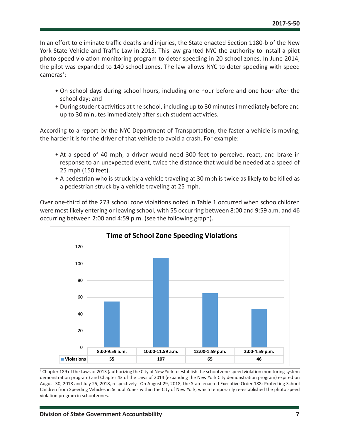In an effort to eliminate traffic deaths and injuries, the State enacted Section 1180-b of the New York State Vehicle and Traffic Law in 2013. This law granted NYC the authority to install a pilot photo speed violation monitoring program to deter speeding in 20 school zones. In June 2014, the pilot was expanded to 140 school zones. The law allows NYC to deter speeding with speed  $cameras<sup>1</sup>$ :

- On school days during school hours, including one hour before and one hour after the school day; and
- During student activities at the school, including up to 30 minutes immediately before and up to 30 minutes immediately after such student activities.

According to a report by the NYC Department of Transportation, the faster a vehicle is moving, the harder it is for the driver of that vehicle to avoid a crash. For example:

- At a speed of 40 mph, a driver would need 300 feet to perceive, react, and brake in response to an unexpected event, twice the distance that would be needed at a speed of 25 mph (150 feet).
- A pedestrian who is struck by a vehicle traveling at 30 mph is twice as likely to be killed as a pedestrian struck by a vehicle traveling at 25 mph.

Over one-third of the 273 school zone violations noted in Table 1 occurred when schoolchildren were most likely entering or leaving school, with 55 occurring between 8:00 and 9:59 a.m. and 46 occurring between 2:00 and 4:59 p.m. (see the following graph).



1 Chapter 189 of the Laws of 2013 (authorizing the City of New York to establish the school zone speed violation monitoring system demonstration program) and Chapter 43 of the Laws of 2014 (expanding the New York City demonstration program) expired on August 30, 2018 and July 25, 2018, respectively. On August 29, 2018, the State enacted Executive Order 188: Protecting School Children from Speeding Vehicles in School Zones within the City of New York, which temporarily re-established the photo speed violation program in school zones.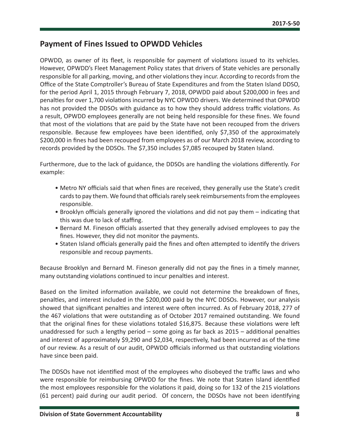### <span id="page-8-0"></span>**Payment of Fines Issued to OPWDD Vehicles**

OPWDD, as owner of its fleet, is responsible for payment of violations issued to its vehicles. However, OPWDD's Fleet Management Policy states that drivers of State vehicles are personally responsible for all parking, moving, and other violations they incur. According to records from the Office of the State Comptroller's Bureau of State Expenditures and from the Staten Island DDSO, for the period April 1, 2015 through February 7, 2018, OPWDD paid about \$200,000 in fees and penalties for over 1,700 violations incurred by NYC OPWDD drivers. We determined that OPWDD has not provided the DDSOs with guidance as to how they should address traffic violations. As a result, OPWDD employees generally are not being held responsible for these fines. We found that most of the violations that are paid by the State have not been recouped from the drivers responsible. Because few employees have been identified, only \$7,350 of the approximately \$200,000 in fines had been recouped from employees as of our March 2018 review, according to records provided by the DDSOs. The \$7,350 includes \$7,085 recouped by Staten Island.

Furthermore, due to the lack of guidance, the DDSOs are handling the violations differently. For example:

- Metro NY officials said that when fines are received, they generally use the State's credit cards to pay them. We found that officials rarely seek reimbursements from the employees responsible.
- Brooklyn officials generally ignored the violations and did not pay them indicating that this was due to lack of staffing.
- Bernard M. Fineson officials asserted that they generally advised employees to pay the fines. However, they did not monitor the payments.
- Staten Island officials generally paid the fines and often attempted to identify the drivers responsible and recoup payments.

Because Brooklyn and Bernard M. Fineson generally did not pay the fines in a timely manner, many outstanding violations continued to incur penalties and interest.

Based on the limited information available, we could not determine the breakdown of fines, penalties, and interest included in the \$200,000 paid by the NYC DDSOs. However, our analysis showed that significant penalties and interest were often incurred. As of February 2018, 277 of the 467 violations that were outstanding as of October 2017 remained outstanding. We found that the original fines for these violations totaled \$16,875. Because these violations were left unaddressed for such a lengthy period – some going as far back as 2015 – additional penalties and interest of approximately \$9,290 and \$2,034, respectively, had been incurred as of the time of our review. As a result of our audit, OPWDD officials informed us that outstanding violations have since been paid.

The DDSOs have not identified most of the employees who disobeyed the traffic laws and who were responsible for reimbursing OPWDD for the fines. We note that Staten Island identified the most employees responsible for the violations it paid, doing so for 132 of the 215 violations (61 percent) paid during our audit period. Of concern, the DDSOs have not been identifying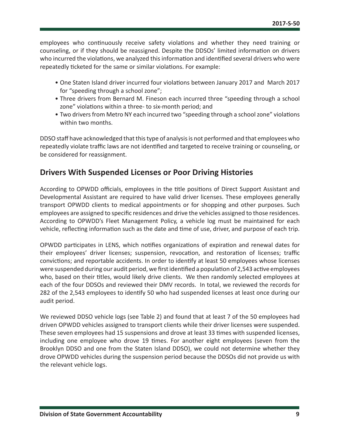<span id="page-9-0"></span>employees who continuously receive safety violations and whether they need training or counseling, or if they should be reassigned. Despite the DDSOs' limited information on drivers who incurred the violations, we analyzed this information and identified several drivers who were repeatedly ticketed for the same or similar violations. For example:

- One Staten Island driver incurred four violations between January 2017 and March 2017 for "speeding through a school zone";
- Three drivers from Bernard M. Fineson each incurred three "speeding through a school zone" violations within a three- to six-month period; and
- Two drivers from Metro NY each incurred two "speeding through a school zone" violations within two months.

DDSO staff have acknowledged that this type of analysis is not performed and that employees who repeatedly violate traffic laws are not identified and targeted to receive training or counseling, or be considered for reassignment.

### **Drivers With Suspended Licenses or Poor Driving Histories**

According to OPWDD officials, employees in the title positions of Direct Support Assistant and Developmental Assistant are required to have valid driver licenses. These employees generally transport OPWDD clients to medical appointments or for shopping and other purposes. Such employees are assigned to specific residences and drive the vehicles assigned to those residences. According to OPWDD's Fleet Management Policy, a vehicle log must be maintained for each vehicle, reflecting information such as the date and time of use, driver, and purpose of each trip.

OPWDD participates in LENS, which notifies organizations of expiration and renewal dates for their employees' driver licenses; suspension, revocation, and restoration of licenses; traffic convictions; and reportable accidents. In order to identify at least 50 employees whose licenses were suspended during our audit period, we first identified a population of 2,543 active employees who, based on their titles, would likely drive clients. We then randomly selected employees at each of the four DDSOs and reviewed their DMV records. In total, we reviewed the records for 282 of the 2,543 employees to identify 50 who had suspended licenses at least once during our audit period.

We reviewed DDSO vehicle logs (see Table 2) and found that at least 7 of the 50 employees had driven OPWDD vehicles assigned to transport clients while their driver licenses were suspended. These seven employees had 15 suspensions and drove at least 33 times with suspended licenses, including one employee who drove 19 times. For another eight employees (seven from the Brooklyn DDSO and one from the Staten Island DDSO), we could not determine whether they drove OPWDD vehicles during the suspension period because the DDSOs did not provide us with the relevant vehicle logs.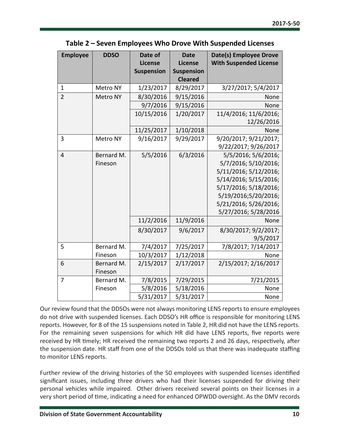| <b>Employee</b> | <b>DDSO</b> | Date of           | <b>Date</b>       | Date(s) Employee Drove        |
|-----------------|-------------|-------------------|-------------------|-------------------------------|
|                 |             | License           | License           | <b>With Suspended License</b> |
|                 |             | <b>Suspension</b> | <b>Suspension</b> |                               |
|                 |             |                   | <b>Cleared</b>    |                               |
| 1               | Metro NY    | 1/23/2017         | 8/29/2017         | 3/27/2017; 5/4/2017           |
| $\overline{2}$  | Metro NY    | 8/30/2016         | 9/15/2016         | None                          |
|                 |             | 9/7/2016          | 9/15/2016         | None                          |
|                 |             | 10/15/2016        | 1/20/2017         | 11/4/2016; 11/6/2016;         |
|                 |             |                   |                   | 12/26/2016                    |
|                 |             | 11/25/2017        | 1/10/2018         | None                          |
| 3               | Metro NY    | 9/16/2017         | 9/29/2017         | 9/20/2017; 9/21/2017;         |
|                 |             |                   |                   | 9/22/2017; 9/26/2017          |
| $\overline{4}$  | Bernard M.  | 5/5/2016          | 6/3/2016          | 5/5/2016; 5/6/2016;           |
|                 | Fineson     |                   |                   | 5/7/2016; 5/10/2016;          |
|                 |             |                   |                   | 5/11/2016; 5/12/2016;         |
|                 |             |                   |                   | 5/14/2016; 5/15/2016;         |
|                 |             |                   |                   | 5/17/2016; 5/18/2016;         |
|                 |             |                   |                   | 5/19/2016;5/20/2016;          |
|                 |             |                   |                   | 5/21/2016; 5/26/2016;         |
|                 |             |                   |                   | 5/27/2016; 5/28/2016          |
|                 |             | 11/2/2016         | 11/9/2016         | None                          |
|                 |             | 8/30/2017         | 9/6/2017          | 8/30/2017; 9/2/2017;          |
|                 |             |                   |                   | 9/5/2017                      |
| 5               | Bernard M.  | 7/4/2017          | 7/25/2017         | 7/8/2017; 7/14/2017           |
|                 | Fineson     | 10/3/2017         | 1/12/2018         | None                          |
| 6               | Bernard M.  | 2/15/2017         | 2/17/2017         | 2/15/2017; 2/16/2017          |
|                 | Fineson     |                   |                   |                               |
| 7               | Bernard M.  | 7/8/2015          | 7/29/2015         | 7/21/2015                     |
|                 | Fineson     | 5/8/2016          | 5/18/2016         | None                          |
|                 |             | 5/31/2017         | 5/31/2017         | None                          |

#### **Table 2 – Seven Employees Who Drove With Suspended Licenses**

Our review found that the DDSOs were not always monitoring LENS reports to ensure employees do not drive with suspended licenses. Each DDSO's HR office is responsible for monitoring LENS reports. However, for 8 of the 15 suspensions noted in Table 2, HR did not have the LENS reports. For the remaining seven suspensions for which HR did have LENS reports, five reports were received by HR timely; HR received the remaining two reports 2 and 26 days, respectively, after the suspension date. HR staff from one of the DDSOs told us that there was inadequate staffing to monitor LENS reports.

Further review of the driving histories of the 50 employees with suspended licenses identified significant issues, including three drivers who had their licenses suspended for driving their personal vehicles while impaired. Other drivers received several points on their licenses in a very short period of time, indicating a need for enhanced OPWDD oversight. As the DMV records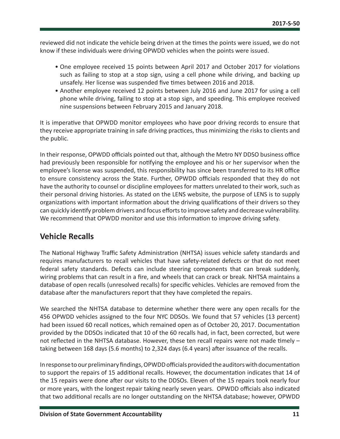<span id="page-11-0"></span>reviewed did not indicate the vehicle being driven at the times the points were issued, we do not know if these individuals were driving OPWDD vehicles when the points were issued.

- One employee received 15 points between April 2017 and October 2017 for violations such as failing to stop at a stop sign, using a cell phone while driving, and backing up unsafely. Her license was suspended five times between 2016 and 2018.
- Another employee received 12 points between July 2016 and June 2017 for using a cell phone while driving, failing to stop at a stop sign, and speeding. This employee received nine suspensions between February 2015 and January 2018.

It is imperative that OPWDD monitor employees who have poor driving records to ensure that they receive appropriate training in safe driving practices, thus minimizing the risks to clients and the public.

In their response, OPWDD officials pointed out that, although the Metro NY DDSO business office had previously been responsible for notifying the employee and his or her supervisor when the employee's license was suspended, this responsibility has since been transferred to its HR office to ensure consistency across the State. Further, OPWDD officials responded that they do not have the authority to counsel or discipline employees for matters unrelated to their work, such as their personal driving histories. As stated on the LENS website, the purpose of LENS is to supply organizations with important information about the driving qualifications of their drivers so they can quickly identify problem drivers and focus efforts to improve safety and decrease vulnerability. We recommend that OPWDD monitor and use this information to improve driving safety.

### **Vehicle Recalls**

The National Highway Traffic Safety Administration (NHTSA) issues vehicle safety standards and requires manufacturers to recall vehicles that have safety-related defects or that do not meet federal safety standards. Defects can include steering components that can break suddenly, wiring problems that can result in a fire, and wheels that can crack or break. NHTSA maintains a database of open recalls (unresolved recalls) for specific vehicles. Vehicles are removed from the database after the manufacturers report that they have completed the repairs.

We searched the NHTSA database to determine whether there were any open recalls for the 456 OPWDD vehicles assigned to the four NYC DDSOs. We found that 57 vehicles (13 percent) had been issued 60 recall notices, which remained open as of October 20, 2017. Documentation provided by the DDSOs indicated that 10 of the 60 recalls had, in fact, been corrected, but were not reflected in the NHTSA database. However, these ten recall repairs were not made timely – taking between 168 days (5.6 months) to 2,324 days (6.4 years) after issuance of the recalls.

In response to our preliminary findings, OPWDD officials provided the auditors with documentation to support the repairs of 15 additional recalls. However, the documentation indicates that 14 of the 15 repairs were done after our visits to the DDSOs. Eleven of the 15 repairs took nearly four or more years, with the longest repair taking nearly seven years. OPWDD officials also indicated that two additional recalls are no longer outstanding on the NHTSA database; however, OPWDD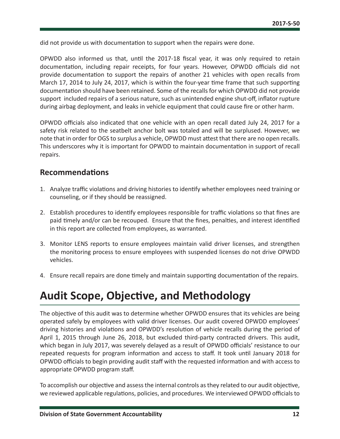<span id="page-12-0"></span>did not provide us with documentation to support when the repairs were done.

OPWDD also informed us that, until the 2017-18 fiscal year, it was only required to retain documentation, including repair receipts, for four years. However, OPWDD officials did not provide documentation to support the repairs of another 21 vehicles with open recalls from March 17, 2014 to July 24, 2017, which is within the four-year time frame that such supporting documentation should have been retained. Some of the recalls for which OPWDD did not provide support included repairs of a serious nature, such as unintended engine shut-off, inflator rupture during airbag deployment, and leaks in vehicle equipment that could cause fire or other harm.

OPWDD officials also indicated that one vehicle with an open recall dated July 24, 2017 for a safety risk related to the seatbelt anchor bolt was totaled and will be surplused. However, we note that in order for OGS to surplus a vehicle, OPWDD must attest that there are no open recalls. This underscores why it is important for OPWDD to maintain documentation in support of recall repairs.

### **Recommendations**

- 1. Analyze traffic violations and driving histories to identify whether employees need training or counseling, or if they should be reassigned.
- 2. Establish procedures to identify employees responsible for traffic violations so that fines are paid timely and/or can be recouped. Ensure that the fines, penalties, and interest identified in this report are collected from employees, as warranted.
- 3. Monitor LENS reports to ensure employees maintain valid driver licenses, and strengthen the monitoring process to ensure employees with suspended licenses do not drive OPWDD vehicles.
- 4. Ensure recall repairs are done timely and maintain supporting documentation of the repairs.

# **Audit Scope, Objective, and Methodology**

The objective of this audit was to determine whether OPWDD ensures that its vehicles are being operated safely by employees with valid driver licenses. Our audit covered OPWDD employees' driving histories and violations and OPWDD's resolution of vehicle recalls during the period of April 1, 2015 through June 26, 2018, but excluded third-party contracted drivers. This audit, which began in July 2017, was severely delayed as a result of OPWDD officials' resistance to our repeated requests for program information and access to staff. It took until January 2018 for OPWDD officials to begin providing audit staff with the requested information and with access to appropriate OPWDD program staff.

To accomplish our objective and assess the internal controls as they related to our audit objective, we reviewed applicable regulations, policies, and procedures. We interviewed OPWDD officials to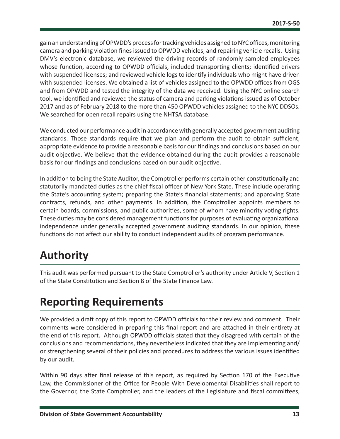<span id="page-13-0"></span>gain an understanding of OPWDD's process for tracking vehicles assigned to NYC offices, monitoring camera and parking violation fines issued to OPWDD vehicles, and repairing vehicle recalls. Using DMV's electronic database, we reviewed the driving records of randomly sampled employees whose function, according to OPWDD officials, included transporting clients; identified drivers with suspended licenses; and reviewed vehicle logs to identify individuals who might have driven with suspended licenses. We obtained a list of vehicles assigned to the OPWDD offices from OGS and from OPWDD and tested the integrity of the data we received. Using the NYC online search tool, we identified and reviewed the status of camera and parking violations issued as of October 2017 and as of February 2018 to the more than 450 OPWDD vehicles assigned to the NYC DDSOs. We searched for open recall repairs using the NHTSA database.

We conducted our performance audit in accordance with generally accepted government auditing standards. Those standards require that we plan and perform the audit to obtain sufficient, appropriate evidence to provide a reasonable basis for our findings and conclusions based on our audit objective. We believe that the evidence obtained during the audit provides a reasonable basis for our findings and conclusions based on our audit objective.

In addition to being the State Auditor, the Comptroller performs certain other constitutionally and statutorily mandated duties as the chief fiscal officer of New York State. These include operating the State's accounting system; preparing the State's financial statements; and approving State contracts, refunds, and other payments. In addition, the Comptroller appoints members to certain boards, commissions, and public authorities, some of whom have minority voting rights. These duties may be considered management functions for purposes of evaluating organizational independence under generally accepted government auditing standards. In our opinion, these functions do not affect our ability to conduct independent audits of program performance.

# **Authority**

This audit was performed pursuant to the State Comptroller's authority under Article V, Section 1 of the State Constitution and Section 8 of the State Finance Law.

# **Reporting Requirements**

We provided a draft copy of this report to OPWDD officials for their review and comment. Their comments were considered in preparing this final report and are attached in their entirety at the end of this report. Although OPWDD officials stated that they disagreed with certain of the conclusions and recommendations, they nevertheless indicated that they are implementing and/ or strengthening several of their policies and procedures to address the various issues identified by our audit.

Within 90 days after final release of this report, as required by Section 170 of the Executive Law, the Commissioner of the Office for People With Developmental Disabilities shall report to the Governor, the State Comptroller, and the leaders of the Legislature and fiscal committees,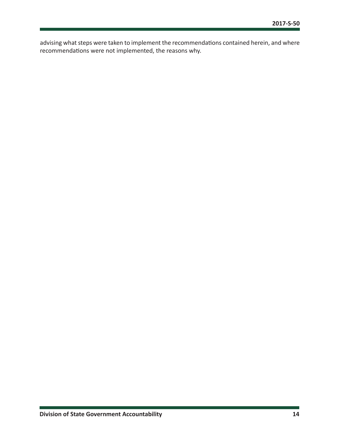advising what steps were taken to implement the recommendations contained herein, and where recommendations were not implemented, the reasons why.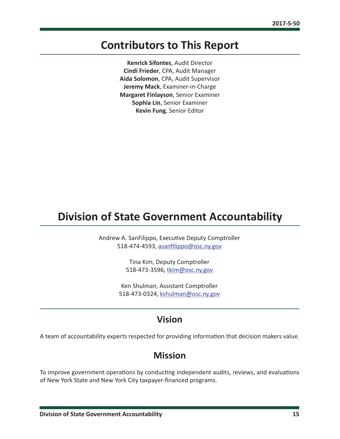# <span id="page-15-0"></span>**Contributors to This Report**

**Kenrick Sifontes**, Audit Director **Cindi Frieder**, CPA, Audit Manager **Aida Solomon**, CPA, Audit Supervisor **Jeremy Mack**, Examiner-in-Charge **Margaret Finlayson**, Senior Examiner **Sophia Lin**, Senior Examiner **Kevin Fung**, Senior Editor

# **Division of State Government Accountability**

Andrew A. SanFilippo, Executive Deputy Comptroller 518-474-4593, [asanfilippo@osc.ny.gov](mailto:asanfilippo%40osc.ny.gov?subject=)

> Tina Kim, Deputy Comptroller 518-473-3596, [tkim@osc.](mailto:tkim%40osc.ny.gov?subject=)ny.gov

Ken Shulman, Assistant Comptroller 518-473-0324, [kshulman@osc.](mailto:kshulman%40osc.ny.gov?subject=)ny.gov

## **Vision**

A team of accountability experts respected for providing information that decision makers value.

# **Mission**

To improve government operations by conducting independent audits, reviews, and evaluations of New York State and New York City taxpayer-financed programs.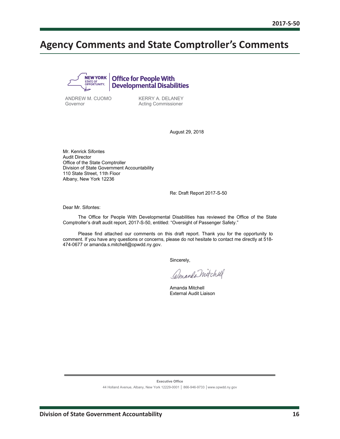# <span id="page-16-0"></span>**Agency Comments and State Comptroller's Comments**



ANDREW M. CUOMO Governor

KERRY A. DELANEY Acting Commissioner

August 29, 2018

Mr. Kenrick Sifontes Audit Director Office of the State Comptroller Division of State Government Accountability 110 State Street, 11th Floor Albany, New York 12236

Re: Draft Report 2017-S-50

Dear Mr. Sifontes:

The Office for People With Developmental Disabilities has reviewed the Office of the State Comptroller's draft audit report, 2017-S-50, entitled: "Oversight of Passenger Safety."

Please find attached our comments on this draft report. Thank you for the opportunity to comment. If you have any questions or concerns, please do not hesitate to contact me directly at 518- 474-0677 or amanda.s.mitchell@opwdd.ny.gov.

Sincerely,

Amanda Mitchell

Amanda Mitchell External Audit Liaison

**Executive Office** 

44 Holland Avenue, Albany, New York 12229-0001 │ 866-946-9733 │www.opwdd.ny.gov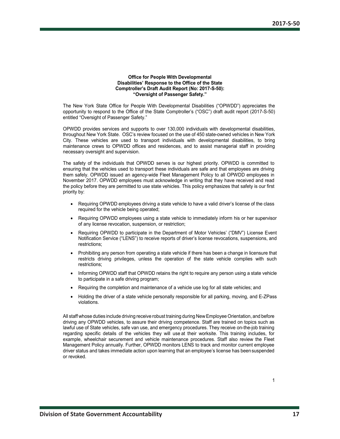#### **Office for People With Developmental Disabilities' Response to the Office of the State Comptroller's Draft Audit Report (No: 2017-S-50): "Oversight of Passenger Safety."**

The New York State Office for People With Developmental Disabilities ("OPWDD") appreciates the opportunity to respond to the Office of the State Comptroller's ("OSC") draft audit report (2017-S-50) entitled "Oversight of Passenger Safety."

OPWDD provides services and supports to over 130,000 individuals with developmental disabilities, throughout New York State. OSC's review focused on the use of 450 state-owned vehicles in New York City. These vehicles are used to transport individuals with developmental disabilities, to bring maintenance crews to OPWDD offices and residences, and to assist managerial staff in providing necessary oversight and supervision.

The safety of the individuals that OPWDD serves is our highest priority. OPWDD is committed to ensuring that the vehicles used to transport these individuals are safe and that employees are driving them safely. OPWDD issued an agency-wide Fleet Management Policy to all OPWDD employees in November 2017. OPWDD employees must acknowledge in writing that they have received and read the policy before they are permitted to use state vehicles. This policy emphasizes that safety is our first priority by:

- Requiring OPWDD employees driving a state vehicle to have a valid driver's license of the class required for the vehicle being operated;
- Requiring OPWDD employees using a state vehicle to immediately inform his or her supervisor of any license revocation, suspension, or restriction;
- Requiring OPWDD to participate in the Department of Motor Vehicles' ("DMV") License Event Notification Service ("LENS") to receive reports of driver's license revocations, suspensions, and restrictions;
- Prohibiting any person from operating a state vehicle if there has been a change in licensure that restricts driving privileges, unless the operation of the state vehicle complies with such restrictions;
- Informing OPWDD staff that OPWDD retains the right to require any person using a state vehicle to participate in a safe driving program;
- Requiring the completion and maintenance of a vehicle use log for all state vehicles; and
- Holding the driver of a state vehicle personally responsible for all parking, moving, and E-ZPass violations.

All staff whose duties include driving receive robust training during New Employee Orientation, and before driving any OPWDD vehicles, to assure their driving competence. Staff are trained on topics such as lawful use of State vehicles, safe van use, and emergency procedures. They receive on-the-job training regarding specific details of the vehicles they will use at their worksite. This training includes, for example, wheelchair securement and vehicle maintenance procedures. Staff also review the Fleet Management Policy annually. Further, OPWDD monitors LENS to track and monitor current employee driver status and takes immediate action upon learning that an employee's license has beensuspended or revoked.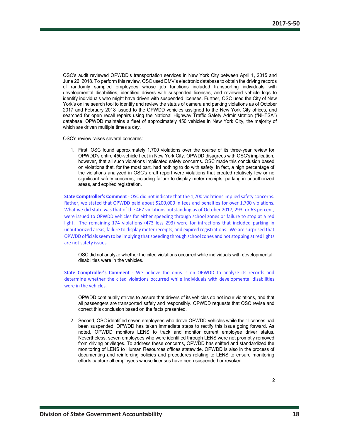OSC's audit reviewed OPWDD's transportation services in New York City between April 1, 2015 and June 26, 2018. To perform this review, OSC used DMV's electronic database to obtain the driving records of randomly sampled employees whose job functions included transporting individuals with developmental disabilities, identified drivers with suspended licenses, and reviewed vehicle logs to identify individuals who might have driven with suspended licenses. Further, OSC used the City of New York's online search tool to identify and review the status of camera and parking violations as of October 2017 and February 2018 issued to the OPWDD vehicles assigned to the New York City offices, and searched for open recall repairs using the National Highway Traffic Safety Administration ("NHTSA") database. OPWDD maintains a fleet of approximately 450 vehicles in New York City, the majority of which are driven multiple times a day.

OSC's review raises several concerns:

1. First, OSC found approximately 1,700 violations over the course of its three-year review for OPWDD's entire 450-vehicle fleet in New York City. OPWDD disagrees with OSC's implication, however, that all such violations implicated safety concerns. OSC made this conclusion based on violations that, for the most part, had nothing to do with safety. In fact, a high percentage of the violations analyzed in OSC's draft report were violations that created relatively few or no significant safety concerns, including failure to display meter receipts, parking in unauthorized areas, and expired registration.

**State Comptroller's Comment** - OSC did not indicate that the 1,700 violations implied safety concerns. Rather, we stated that OPWDD paid about \$200,000 in fees and penalties for over 1,700 violations. What we did state was that of the 467 violations outstanding as of October 2017, 293, or 63 percent, were issued to OPWDD vehicles for either speeding through school zones or failure to stop at a red light. The remaining 174 violations (473 less 293) were for infractions that included parking in unauthorized areas, failure to display meter receipts, and expired registrations. We are surprised that OPWDD officials seem to be implying that speeding through school zones and not stopping at red lights are not safety issues.

OSC did not analyze whether the cited violations occurred while individuals with developmental disabilities were in the vehicles.

**State Comptroller's Comment** - We believe the onus is on OPWDD to analyze its records and determine whether the cited violations occurred while individuals with developmental disabilities were in the vehicles.

OPWDD continually strives to assure that drivers of its vehicles do not incur violations, and that all passengers are transported safely and responsibly. OPWDD requests that OSC revise and correct this conclusion based on the facts presented.

2. Second, OSC identified seven employees who drove OPWDD vehicles while their licenses had been suspended. OPWDD has taken immediate steps to rectify this issue going forward. As noted, OPWDD monitors LENS to track and monitor current employee driver status. Nevertheless, seven employees who were identified through LENS were not promptly removed from driving privileges. To address these concerns, OPWDD has shifted and standardized the monitoring of LENS to Human Resources offices statewide. OPWDD is also in the process of documenting and reinforcing policies and procedures relating to LENS to ensure monitoring efforts capture all employees whose licenses have been suspended or revoked.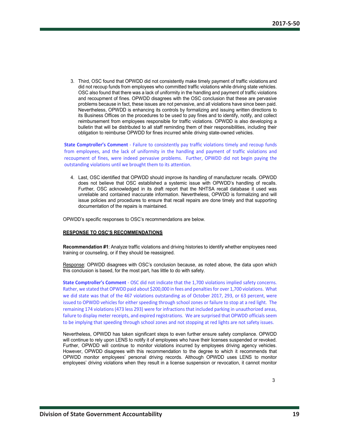3. Third, OSC found that OPWDD did not consistently make timely payment of traffic violations and did not recoup funds from employees who committed traffic violations while driving state vehicles. OSC also found that there was a lack of uniformity in the handling and payment of traffic violations and recoupment of fines. OPWDD disagrees with the OSC conclusion that these are pervasive problems because in fact, these issues are not pervasive, and all violations have since been paid. Nevertheless, OPWDD is enhancing its controls by formalizing and issuing written directions to its Business Offices on the procedures to be used to pay fines and to identify, notify, and collect reimbursement from employees responsible for traffic violations. OPWDD is also developing a bulletin that will be distributed to all staff reminding them of their responsibilities, including their obligation to reimburse OPWDD for fines incurred while driving state-owned vehicles.

**State Comptroller's Comment** - Failure to consistently pay traffic violations timely and recoup funds from employees, and the lack of uniformity in the handling and payment of traffic violations and recoupment of fines, were indeed pervasive problems. Further, OPWDD did not begin paying the outstanding violations until we brought them to its attention.

4. Last, OSC identified that OPWDD should improve its handling of manufacturer recalls. OPWDD does not believe that OSC established a systemic issue with OPWDD's handling of recalls. Further, OSC acknowledged in its draft report that the NHTSA recall database it used was unreliable and contained inaccurate information. Nevertheless, OPWDD is formalizing and will issue policies and procedures to ensure that recall repairs are done timely and that supporting documentation of the repairs is maintained.

OPWDD's specific responses to OSC's recommendations are below.

#### **RESPONSE TO OSC'S RECOMMENDATIONS**

**Recommendation #1**: Analyze traffic violations and driving histories to identify whether employees need training or counseling, or if they should be reassigned.

Response: OPWDD disagrees with OSC's conclusion because, as noted above, the data upon which this conclusion is based, for the most part, has little to do with safety.

**State Comptroller's Comment** - OSC did not indicate that the 1,700 violations implied safety concerns. Rather, we stated that OPWDD paid about \$200,000 in fees and penalties for over 1,700 violations. What we did state was that of the 467 violations outstanding as of October 2017, 293, or 63 percent, were issued to OPWDD vehicles for either speeding through school zones or failure to stop at a red light. The remaining 174 violations (473 less 293) were for infractions that included parking in unauthorized areas, failure to display meter receipts, and expired registrations. We are surprised that OPWDD officials seem to be implying that speeding through school zones and not stopping at red lights are not safety issues.

Nevertheless, OPWDD has taken significant steps to even further ensure safety compliance. OPWDD will continue to rely upon LENS to notify it of employees who have their licenses suspended or revoked. Further, OPWDD will continue to monitor violations incurred by employees driving agency vehicles. However, OPWDD disagrees with this recommendation to the degree to which it recommends that OPWDD monitor employees' personal driving records. Although OPWDD uses LENS to monitor employees' driving violations when they result in a license suspension or revocation, it cannot monitor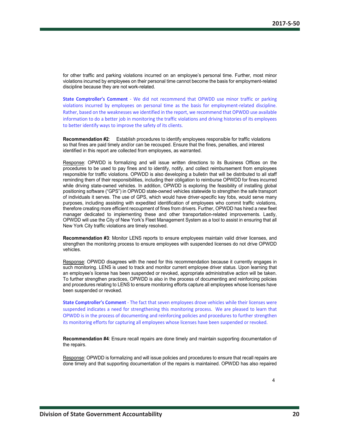for other traffic and parking violations incurred on an employee's personal time. Further, most minor violations incurred by employees on their personal time cannot become the basis for employment-related discipline because they are not work-related.

**State Comptroller's Comment** - We did not recommend that OPWDD use minor traffic or parking violations incurred by employees on personal time as the basis for employment-related discipline. Rather, based on the weaknesses we identified in the report, we recommend that OPWDD use available information to do a better job in monitoring the traffic violations and driving histories of its employees to better identify ways to improve the safety of its clients.

**Recommendation #2**: Establish procedures to identify employees responsible for traffic violations so that fines are paid timely and/or can be recouped. Ensure that the fines, penalties, and interest identified in this report are collected from employees, as warranted.

Response: OPWDD is formalizing and will issue written directions to its Business Offices on the procedures to be used to pay fines and to identify, notify, and collect reimbursement from employees responsible for traffic violations. OPWDD is also developing a bulletin that will be distributed to all staff reminding them of their responsibilities, including their obligation to reimburse OPWDD for fines incurred while driving state-owned vehicles. In addition, OPWDD is exploring the feasibility of installing global positioning software ("GPS") in OPWDD state-owned vehicles statewide to strengthen the safe transport of individuals it serves. The use of GPS, which would have driver-specific key fobs, would serve many purposes, including assisting with expedited identification of employees who commit traffic violations, therefore creating more efficient recoupment of fines from drivers. Further, OPWDD has hired a new fleet manager dedicated to implementing these and other transportation-related improvements. Lastly, OPWDD will use the City of New York's Fleet Management System as a tool to assist in ensuring that all New York City traffic violations are timely resolved.

**Recommendation #3**: Monitor LENS reports to ensure employees maintain valid driver licenses, and strengthen the monitoring process to ensure employees with suspended licenses do not drive OPWDD vehicles.

Response: OPWDD disagrees with the need for this recommendation because it currently engages in such monitoring. LENS is used to track and monitor current employee driver status. Upon learning that an employee's license has been suspended or revoked, appropriate administrative action will be taken. To further strengthen practices, OPWDD is also in the process of documenting and reinforcing policies and procedures relating to LENS to ensure monitoring efforts capture all employees whose licenses have been suspended or revoked.

**State Comptroller's Comment** - The fact that seven employees drove vehicles while their licenses were suspended indicates a need for strengthening this monitoring process. We are pleased to learn that OPWDD is in the process of documenting and reinforcing policies and procedures to further strengthen its monitoring efforts for capturing all employees whose licenses have been suspended or revoked.

**Recommendation #4**: Ensure recall repairs are done timely and maintain supporting documentation of the repairs.

Response: OPWDD is formalizing and will issue policies and procedures to ensure that recall repairs are done timely and that supporting documentation of the repairs is maintained. OPWDD has also repaired